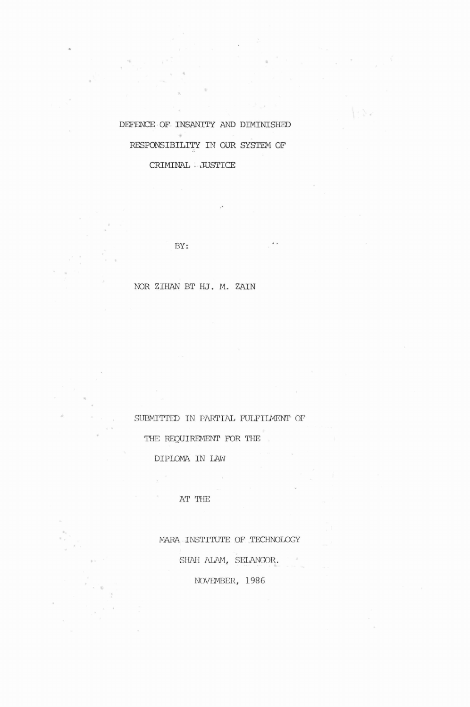DEFENCE OF INSANITY AND DIMINISHED  $\sim$ RESPONSIBILITY IN OUR SYSTEM OF CRIMINAL· JUSTICE

BY:

# OOR ZIHAN BT HJ. M. ZAIN

 $\cdot$  .

SUBMITTED IN PARTIAL FULFILMENT OF

THE REQUIREMENT FOR THE

DIPLOMA IN LAW

AT THE

MARA INSTITUTE OF TECHNOLOGY SHAH ALAM, SELANGOR. NOVEMBER, 1986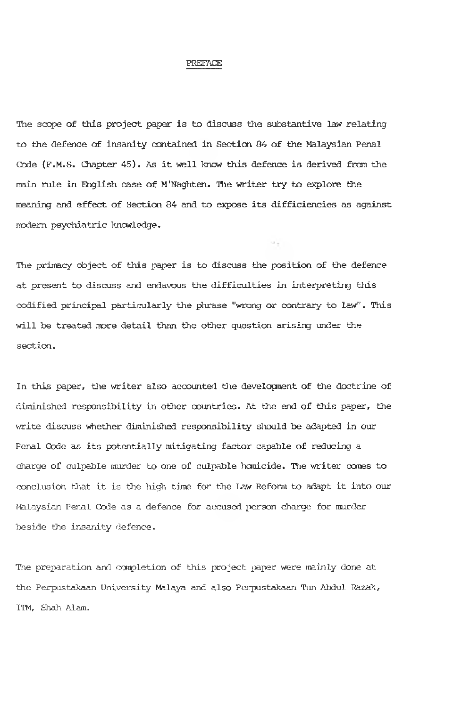#### PREFACE

The scope of this project paper is to discuss the substantive law relating to the defence of insanity contained in Section 84 of the Malaysian Penal Code (F.M.S. Chapter 45). As it well know this defence is derived from the main rule in English case of M'Naghten. The writer try to explore the meaning and effect of Section 84 and to expose its difficiencies as against modem psychiatric knowledge.

The primacy object of this paper is to discuss the position of the defence at present to discuss and endavous the difficulties in interpreting this codified principal particularly the phrase "wrong or contrary to law". This will be treated more detail than the other question arising under the section.

In this paper, the writer also accounted the development of the doctrine of diminished responsibility in other countries. At the end of this paper, the write discuss whether diminished responsibility should be adapted in our Penal Code as its potentially mitigating factor capable of reducing a charge of culpable murder to one of culpable homicide. The writer comes to conclusion that it is the high time for the Law Reform to adapt it into our Malaysian Penal Code as a defence for accused person charge for murder beside the insanity defence.

The preparation and canpletion of this project paper were mainly done at the Perpustakaan University Malaya and also Perpustakaan Tun Abdul Razak, ITM, Shah Alam.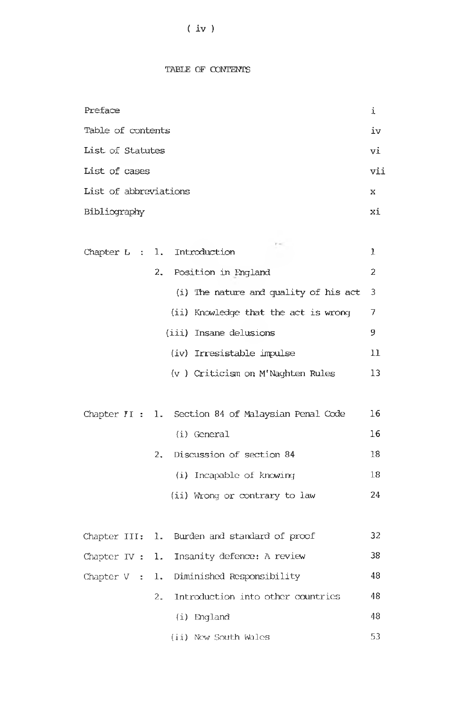# ( iv )

## TABLE OF CONTENTS

| Preface                                                         | i   |
|-----------------------------------------------------------------|-----|
| Table of contents                                               | iv  |
| List of Statutes                                                | vi  |
| List of cases                                                   | vi: |
| List of abbreviations                                           | x   |
| Bibliography                                                    | хi  |
|                                                                 |     |
| r er<br>Introduction<br>Chapter L<br>ı.<br>$\ddot{\phantom{1}}$ | 1   |
| 2.<br>Position in England                                       | 2   |
| (i) The nature and quality of his act                           | 3   |
| (ii) Knowledge that the act is wrong                            | 7   |
| (iii) Insane delusions                                          | 9   |
| (iv) Irresistable impulse                                       | 11  |
| (v) Criticism on M'Naghten Rules                                | 13  |
|                                                                 |     |
| 1. Section 84 of Malaysian Penal Code<br>Chapter II :           | 16  |
| (i) General                                                     | 16  |
| Discussion of section 84<br>2.                                  | 18  |
| (i) Incapable of knowing                                        | 18  |
| (ii) Wrong or contrary to law                                   | 24  |
|                                                                 |     |
| Burden and standard of proof<br>Chapter III:<br>1.              | 32  |
| Insanity defence: A review<br>Chapter IV :<br>l.                | 38  |
| 1. Diminished Responsibility<br>Chapter $V$ :                   | 48  |
| Introduction into other countries<br>2.                         | 48  |
| (i) England                                                     | 48  |
| (ii) New South Wales                                            | 53  |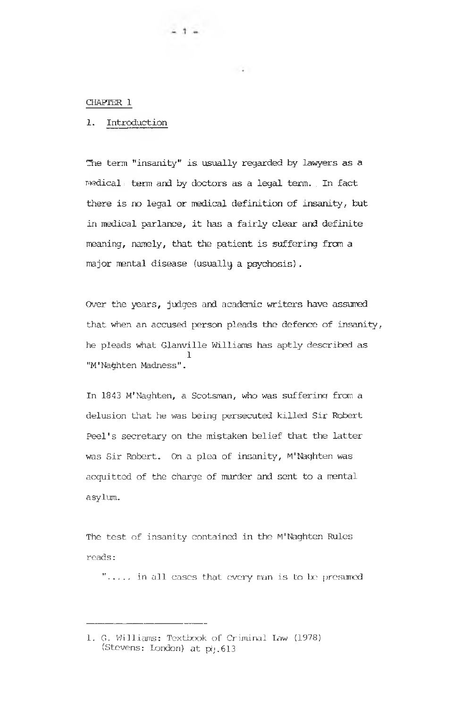#### CHAPTER 1

## 1. Introduction

The term "insanity" is, usually regarded by lawyers as a rnedical; term and by doctors as a legal tern. . In fact there is no legal or medical definition of insanity, but in medical parlance, it has a fairly clear and definite meaning, namely, that the patient is suffering from a major mental disease (usually a psychosis).

 $\sim 10$ 

 $-1 -$ 

Over the years, judges and academic writers have assumed that when an accused person pleads the defence of insanity, he pleads what Glanville Williams has aptly described as 1 "M'Naghten Madness".

In 1843 M'Naghten, a Scotsman, who was suffering from a delusion that he was being persecuted killed Sir Robert Peel's secretary on the mistaken belief that the latter was Sir Robert. On a plea of insanity, M'Naghten was acquitted of the charge of murder and sent to a mental asylum.

The test of insanity contained in the M'Naghten Rules reads:

"... in all cases that every man is to be presumed

<sup>1.</sup> G. Williams: Textbook of Criminal Law (1978) (Stevens: London) at pi.613